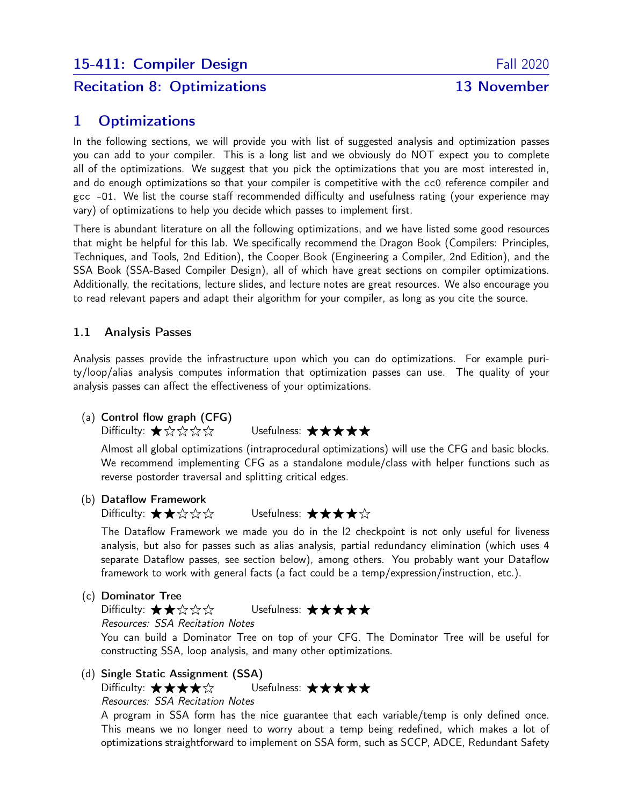# Recitation 8: Optimizations 13 November

# 1 Optimizations

In the following sections, we will provide you with list of suggested analysis and optimization passes you can add to your compiler. This is a long list and we obviously do NOT expect you to complete all of the optimizations. We suggest that you pick the optimizations that you are most interested in, and do enough optimizations so that your compiler is competitive with the cc0 reference compiler and gcc -O1. We list the course staff recommended difficulty and usefulness rating (your experience may vary) of optimizations to help you decide which passes to implement first.

There is abundant literature on all the following optimizations, and we have listed some good resources that might be helpful for this lab. We specifically recommend the Dragon Book (Compilers: Principles, Techniques, and Tools, 2nd Edition), the Cooper Book (Engineering a Compiler, 2nd Edition), and the SSA Book (SSA-Based Compiler Design), all of which have great sections on compiler optimizations. Additionally, the recitations, lecture slides, and lecture notes are great resources. We also encourage you to read relevant papers and adapt their algorithm for your compiler, as long as you cite the source.

## 1.1 Analysis Passes

Analysis passes provide the infrastructure upon which you can do optimizations. For example purity/loop/alias analysis computes information that optimization passes can use. The quality of your analysis passes can affect the effectiveness of your optimizations.

## (a) Control flow graph (CFG)

Difficulty: ★☆☆☆☆ Usefulness: ★★★★★

Almost all global optimizations (intraprocedural optimizations) will use the CFG and basic blocks. We recommend implementing CFG as a standalone module/class with helper functions such as reverse postorder traversal and splitting critical edges.

## (b) Dataflow Framework

Difficulty: ★★☆☆☆ Usefulness: ★★★★☆

The Dataflow Framework we made you do in the l2 checkpoint is not only useful for liveness analysis, but also for passes such as alias analysis, partial redundancy elimination (which uses 4 separate Dataflow passes, see section below), among others. You probably want your Dataflow framework to work with general facts (a fact could be a temp/expression/instruction, etc.).

(c) Dominator Tree

Difficulty: ★★☆☆☆ Usefulness: ★★★★★ Resources: SSA Recitation Notes You can build a Dominator Tree on top of your CFG. The Dominator Tree will be useful for constructing SSA, loop analysis, and many other optimizations.

(d) Single Static Assignment (SSA)

Difficulty: ★★★★☆ Usefulness: ★★★★★

Resources: SSA Recitation Notes

A program in SSA form has the nice guarantee that each variable/temp is only defined once. This means we no longer need to worry about a temp being redefined, which makes a lot of optimizations straightforward to implement on SSA form, such as SCCP, ADCE, Redundant Safety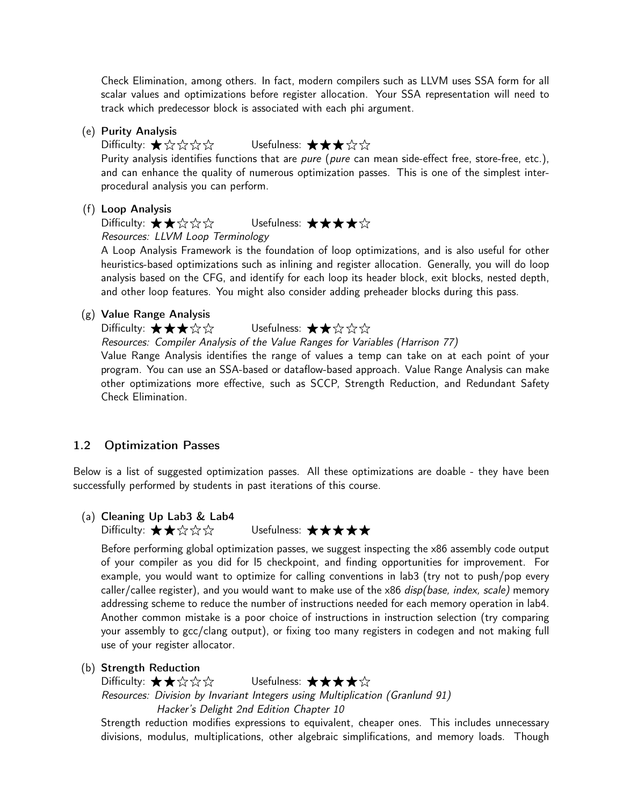Check Elimination, among others. In fact, modern compilers such as LLVM uses SSA form for all scalar values and optimizations before register allocation. Your SSA representation will need to track which predecessor block is associated with each phi argument.

#### (e) Purity Analysis

## Difficulty: ☀☆☆☆☆ Usefulness: ☀☀☀☆☆

Purity analysis identifies functions that are *pure* (*pure* can mean side-effect free, store-free, etc.), and can enhance the quality of numerous optimization passes. This is one of the simplest interprocedural analysis you can perform.

#### (f) Loop Analysis

Difficulty: ★★☆☆☆ Usefulness: ★★★★☆ Resources: LLVM Loop Terminology

A Loop Analysis Framework is the foundation of loop optimizations, and is also useful for other heuristics-based optimizations such as inlining and register allocation. Generally, you will do loop analysis based on the CFG, and identify for each loop its header block, exit blocks, nested depth, and other loop features. You might also consider adding preheader blocks during this pass.

#### (g) Value Range Analysis

Difficulty:  $\bigstar \star \star \& \otimes$  Usefulness:  $\bigstar \star \& \otimes \& \;$ 

Resources: Compiler Analysis of the Value Ranges for Variables (Harrison 77)

Value Range Analysis identifies the range of values a temp can take on at each point of your program. You can use an SSA-based or dataflow-based approach. Value Range Analysis can make other optimizations more effective, such as SCCP, Strength Reduction, and Redundant Safety Check Elimination.

#### 1.2 Optimization Passes

Below is a list of suggested optimization passes. All these optimizations are doable - they have been successfully performed by students in past iterations of this course.

#### (a) Cleaning Up Lab3 & Lab4

Difficulty: ★★☆☆☆ Usefulness: ★★★★★

Before performing global optimization passes, we suggest inspecting the x86 assembly code output of your compiler as you did for l5 checkpoint, and finding opportunities for improvement. For example, you would want to optimize for calling conventions in lab3 (try not to push/pop every caller/callee register), and you would want to make use of the  $x86$  disp(base, index, scale) memory addressing scheme to reduce the number of instructions needed for each memory operation in lab4. Another common mistake is a poor choice of instructions in instruction selection (try comparing your assembly to gcc/clang output), or fixing too many registers in codegen and not making full use of your register allocator.

#### (b) Strength Reduction

Difficulty: ★★☆☆☆ Usefulness: ★★★★☆ Resources: Division by Invariant Integers using Multiplication (Granlund 91) Hacker's Delight 2nd Edition Chapter 10

Strength reduction modifies expressions to equivalent, cheaper ones. This includes unnecessary divisions, modulus, multiplications, other algebraic simplifications, and memory loads. Though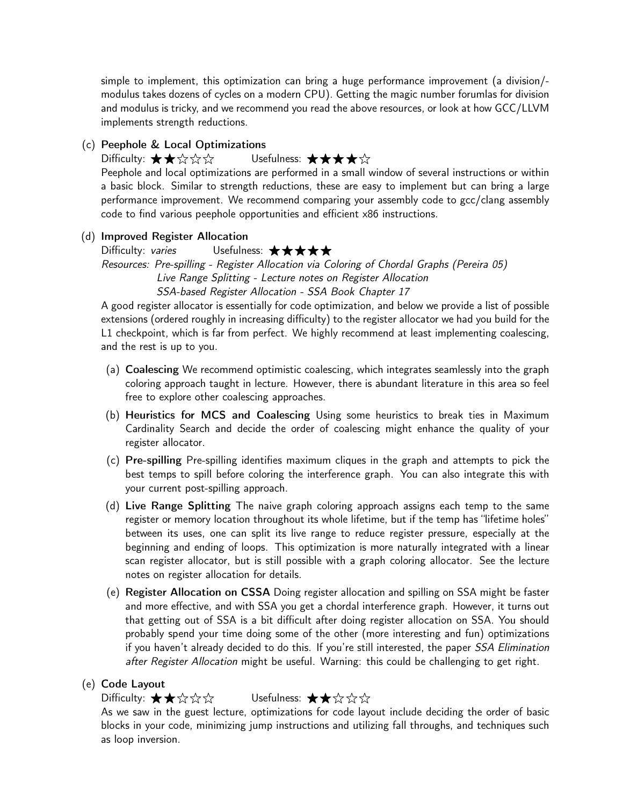simple to implement, this optimization can bring a huge performance improvement (a division/ modulus takes dozens of cycles on a modern CPU). Getting the magic number forumlas for division and modulus is tricky, and we recommend you read the above resources, or look at how GCC/LLVM implements strength reductions.

### (c) Peephole & Local Optimizations

## Difficulty:  $\bigstar \star \land \lor \lor \lor$  Usefulness:  $\bigstar \star \star \land \lor$

Peephole and local optimizations are performed in a small window of several instructions or within a basic block. Similar to strength reductions, these are easy to implement but can bring a large performance improvement. We recommend comparing your assembly code to gcc/clang assembly code to find various peephole opportunities and efficient x86 instructions.

#### (d) Improved Register Allocation

Difficulty: varies Usefulness:  $\star \star \star \star$ Resources: Pre-spilling - Register Allocation via Coloring of Chordal Graphs (Pereira 05) Live Range Splitting - Lecture notes on Register Allocation

SSA-based Register Allocation - SSA Book Chapter 17

A good register allocator is essentially for code optimization, and below we provide a list of possible extensions (ordered roughly in increasing difficulty) to the register allocator we had you build for the L1 checkpoint, which is far from perfect. We highly recommend at least implementing coalescing, and the rest is up to you.

- (a) Coalescing We recommend optimistic coalescing, which integrates seamlessly into the graph coloring approach taught in lecture. However, there is abundant literature in this area so feel free to explore other coalescing approaches.
- (b) Heuristics for MCS and Coalescing Using some heuristics to break ties in Maximum Cardinality Search and decide the order of coalescing might enhance the quality of your register allocator.
- (c) Pre-spilling Pre-spilling identifies maximum cliques in the graph and attempts to pick the best temps to spill before coloring the interference graph. You can also integrate this with your current post-spilling approach.
- (d) Live Range Splitting The naive graph coloring approach assigns each temp to the same register or memory location throughout its whole lifetime, but if the temp has "lifetime holes" between its uses, one can split its live range to reduce register pressure, especially at the beginning and ending of loops. This optimization is more naturally integrated with a linear scan register allocator, but is still possible with a graph coloring allocator. See the lecture notes on register allocation for details.
- (e) Register Allocation on CSSA Doing register allocation and spilling on SSA might be faster and more effective, and with SSA you get a chordal interference graph. However, it turns out that getting out of SSA is a bit difficult after doing register allocation on SSA. You should probably spend your time doing some of the other (more interesting and fun) optimizations if you haven't already decided to do this. If you're still interested, the paper SSA Elimination after Register Allocation might be useful. Warning: this could be challenging to get right.

### (e) Code Layout

## Difficulty: ★★☆☆☆ Usefulness: ★★☆☆☆

As we saw in the guest lecture, optimizations for code layout include deciding the order of basic blocks in your code, minimizing jump instructions and utilizing fall throughs, and techniques such as loop inversion.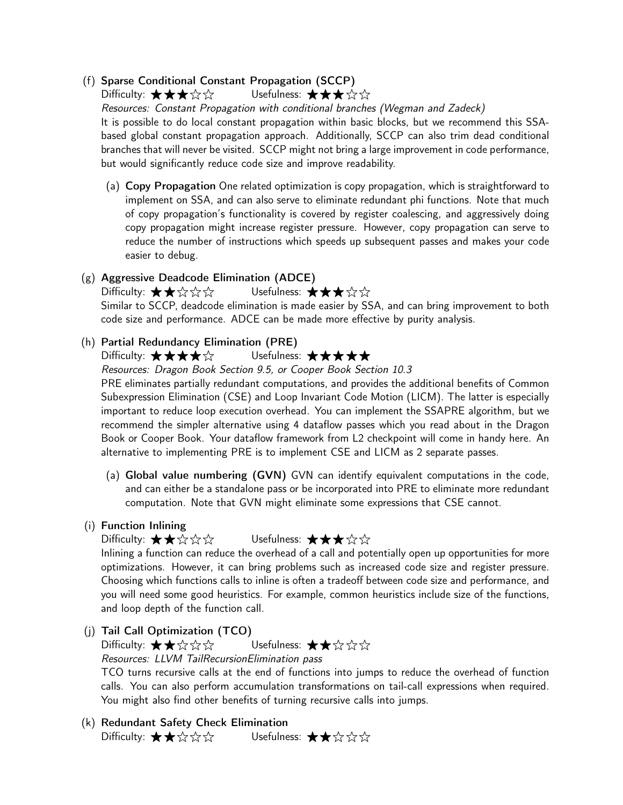## (f) Sparse Conditional Constant Propagation (SCCP)

Difficulty: ★★★☆☆ Usefulness: ★★★☆☆

Resources: Constant Propagation with conditional branches (Wegman and Zadeck) It is possible to do local constant propagation within basic blocks, but we recommend this SSAbased global constant propagation approach. Additionally, SCCP can also trim dead conditional branches that will never be visited. SCCP might not bring a large improvement in code performance, but would significantly reduce code size and improve readability.

(a) Copy Propagation One related optimization is copy propagation, which is straightforward to implement on SSA, and can also serve to eliminate redundant phi functions. Note that much of copy propagation's functionality is covered by register coalescing, and aggressively doing copy propagation might increase register pressure. However, copy propagation can serve to reduce the number of instructions which speeds up subsequent passes and makes your code easier to debug.

## (g) Aggressive Deadcode Elimination (ADCE)

Difficulty: ★★☆☆☆☆ Usefulness: ★★★☆☆ Similar to SCCP, deadcode elimination is made easier by SSA, and can bring improvement to both code size and performance. ADCE can be made more effective by purity analysis.

## (h) Partial Redundancy Elimination (PRE)

Difficulty: ★★★★☆ Usefulness: ★★★★★

Resources: Dragon Book Section 9.5, or Cooper Book Section 10.3

PRE eliminates partially redundant computations, and provides the additional benefits of Common Subexpression Elimination (CSE) and Loop Invariant Code Motion (LICM). The latter is especially important to reduce loop execution overhead. You can implement the SSAPRE algorithm, but we recommend the simpler alternative using 4 dataflow passes which you read about in the Dragon Book or Cooper Book. Your dataflow framework from L2 checkpoint will come in handy here. An alternative to implementing PRE is to implement CSE and LICM as 2 separate passes.

(a) Global value numbering (GVN) GVN can identify equivalent computations in the code, and can either be a standalone pass or be incorporated into PRE to eliminate more redundant computation. Note that GVN might eliminate some expressions that CSE cannot.

## (i) Function Inlining

## Difficulty: ★★☆☆☆ Usefulness: ★★★☆☆

Inlining a function can reduce the overhead of a call and potentially open up opportunities for more optimizations. However, it can bring problems such as increased code size and register pressure. Choosing which functions calls to inline is often a tradeoff between code size and performance, and you will need some good heuristics. For example, common heuristics include size of the functions, and loop depth of the function call.

(j) Tail Call Optimization (TCO)

## Difficulty: ★★☆☆☆ Usefulness: ★★☆☆☆ Resources: LLVM TailRecursionElimination pass

TCO turns recursive calls at the end of functions into jumps to reduce the overhead of function calls. You can also perform accumulation transformations on tail-call expressions when required. You might also find other benefits of turning recursive calls into jumps.

(k) Redundant Safety Check Elimination Difficulty: ★★☆☆☆ Usefulness: ★★☆☆☆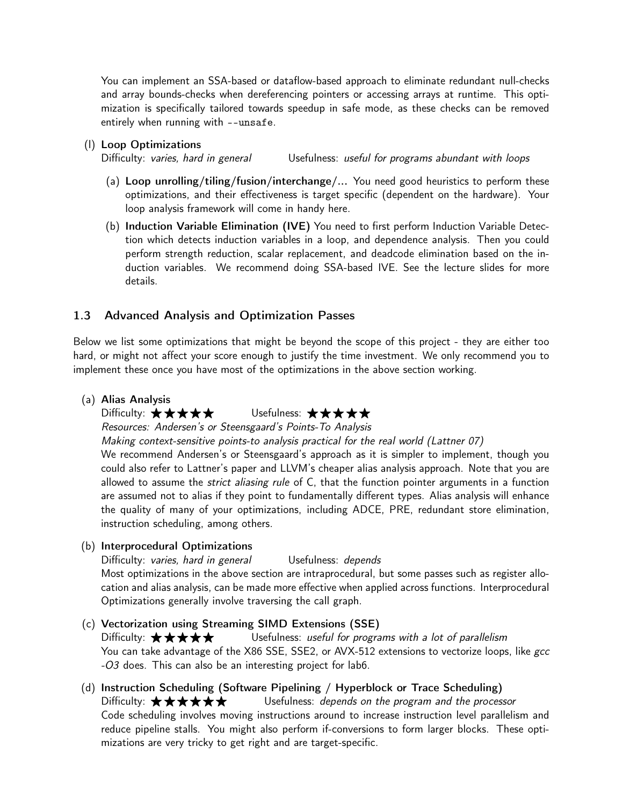You can implement an SSA-based or dataflow-based approach to eliminate redundant null-checks and array bounds-checks when dereferencing pointers or accessing arrays at runtime. This optimization is specifically tailored towards speedup in safe mode, as these checks can be removed entirely when running with --unsafe.

### (l) Loop Optimizations

Difficulty: varies, hard in general Usefulness: useful for programs abundant with loops

- (a) Loop unrolling/tiling/fusion/interchange/... You need good heuristics to perform these optimizations, and their effectiveness is target specific (dependent on the hardware). Your loop analysis framework will come in handy here.
- (b) Induction Variable Elimination (IVE) You need to first perform Induction Variable Detection which detects induction variables in a loop, and dependence analysis. Then you could perform strength reduction, scalar replacement, and deadcode elimination based on the induction variables. We recommend doing SSA-based IVE. See the lecture slides for more details.

## 1.3 Advanced Analysis and Optimization Passes

Below we list some optimizations that might be beyond the scope of this project - they are either too hard, or might not affect your score enough to justify the time investment. We only recommend you to implement these once you have most of the optimizations in the above section working.

#### (a) Alias Analysis

## Difficulty: ★★★★★ Usefulness: ★★★★★

Resources: Andersen's or Steensgaard's Points-To Analysis

Making context-sensitive points-to analysis practical for the real world (Lattner 07)

We recommend Andersen's or Steensgaard's approach as it is simpler to implement, though you could also refer to Lattner's paper and LLVM's cheaper alias analysis approach. Note that you are allowed to assume the *strict aliasing rule* of C, that the function pointer arguments in a function are assumed not to alias if they point to fundamentally different types. Alias analysis will enhance the quality of many of your optimizations, including ADCE, PRE, redundant store elimination, instruction scheduling, among others.

### (b) Interprocedural Optimizations

Difficulty: varies, hard in general Usefulness: depends Most optimizations in the above section are intraprocedural, but some passes such as register allocation and alias analysis, can be made more effective when applied across functions. Interprocedural Optimizations generally involve traversing the call graph.

## (c) Vectorization using Streaming SIMD Extensions (SSE) Difficulty:  $\star \star \star \star$   $\star$  Usefulness: useful for programs with a lot of parallelism You can take advantage of the X86 SSE, SSE2, or AVX-512 extensions to vectorize loops, like gcc -O3 does. This can also be an interesting project for lab6.

(d) Instruction Scheduling (Software Pipelining / Hyperblock or Trace Scheduling) Difficulty:  $\star \star \star \star \star$   $\star$  Usefulness: depends on the program and the processor Code scheduling involves moving instructions around to increase instruction level parallelism and reduce pipeline stalls. You might also perform if-conversions to form larger blocks. These optimizations are very tricky to get right and are target-specific.